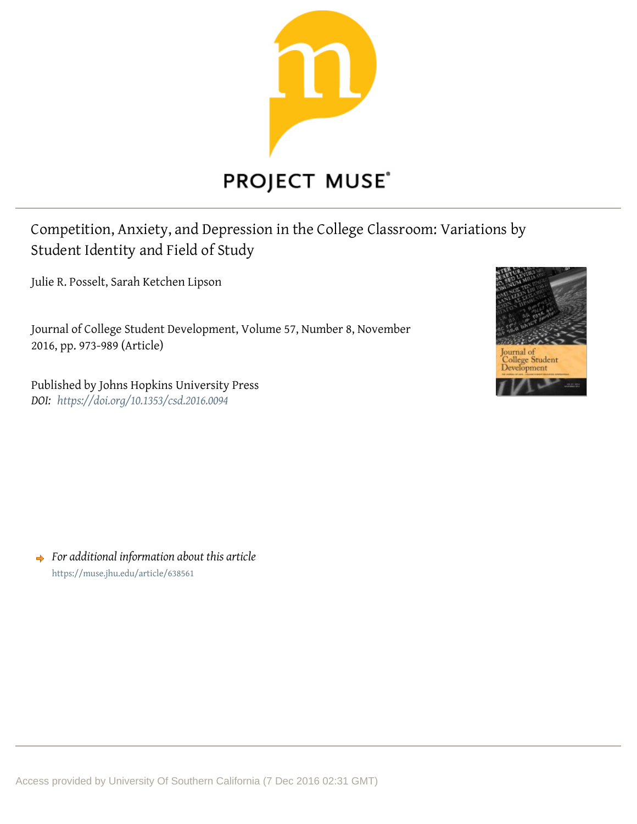

# **PROJECT MUSE®**

Competition, Anxiety, and Depression in the College Classroom: Variations by Student Identity and Field of Study

Julie R. Posselt, Sarah Ketchen Lipson

Journal of College Student Development, Volume 57, Number 8, November 2016, pp. 973-989 (Article)

Published by Johns Hopkins University Press **DOI:** https://doi.org/10.1353/csd.2016.0094



 $\rightarrow$  For additional information about this article https://muse.jhu.edu/article/638561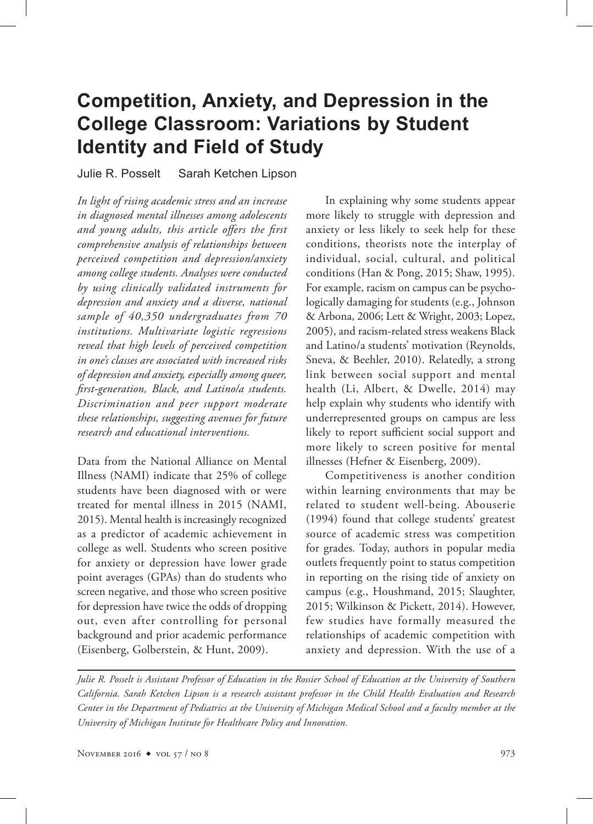# **Competition, Anxiety, and Depression in the College Classroom: Variations by Student Identity and Field of Study**

Julie R. Posselt Sarah Ketchen Lipson

*In light of rising academic stress and an increase in diagnosed mental illnesses among adolescents and young adults, this article offers the first comprehensive analysis of relationships between perceived competition and depression/anxiety among college students. Analyses were conducted by using clinically validated instruments for depression and anxiety and a diverse, national sample of 40,350 undergraduates from 70 institutions. Multivariate logistic regressions reveal that high levels of perceived competition in one's classes are associated with increased risks of depression and anxiety, especially among queer, first-generation, Black, and Latino/a students. Discrimination and peer support moderate these relationships, suggesting avenues for future research and educational interventions.*

Data from the National Alliance on Mental Illness (NAMI) indicate that 25% of college students have been diagnosed with or were treated for mental illness in 2015 (NAMI, 2015). Mental health is increasingly recognized as a predictor of academic achievement in college as well. Students who screen positive for anxiety or depression have lower grade point averages (GPAs) than do students who screen negative, and those who screen positive for depression have twice the odds of dropping out, even after controlling for personal background and prior academic performance (Eisenberg, Golberstein, & Hunt, 2009).

In explaining why some students appear more likely to struggle with depression and anxiety or less likely to seek help for these conditions, theorists note the interplay of individual, social, cultural, and political conditions (Han & Pong, 2015; Shaw, 1995). For example, racism on campus can be psychologically damaging for students (e.g., Johnson & Arbona, 2006; Lett & Wright, 2003; Lopez, 2005), and racism-related stress weakens Black and Latino/a students' motivation (Reynolds, Sneva, & Beehler, 2010). Relatedly, a strong link between social support and mental health (Li, Albert, & Dwelle, 2014) may help explain why students who identify with underrepresented groups on campus are less likely to report sufficient social support and more likely to screen positive for mental illnesses (Hefner & Eisenberg, 2009).

Competitiveness is another condition within learning environments that may be related to student well-being. Abouserie (1994) found that college students' greatest source of academic stress was competition for grades*.* Today, authors in popular media outlets frequently point to status competition in reporting on the rising tide of anxiety on campus (e.g., Houshmand, 2015; Slaughter, 2015; Wilkinson & Pickett, 2014). However, few studies have formally measured the relationships of academic competition with anxiety and depression. With the use of a

*Julie R. Posselt is Assistant Professor of Education in the Rossier School of Education at the University of Southern California. Sarah Ketchen Lipson is a research assistant professor in the Child Health Evaluation and Research Center in the Department of Pediatrics at the University of Michigan Medical School and a faculty member at the University of Michigan Institute for Healthcare Policy and Innovation.*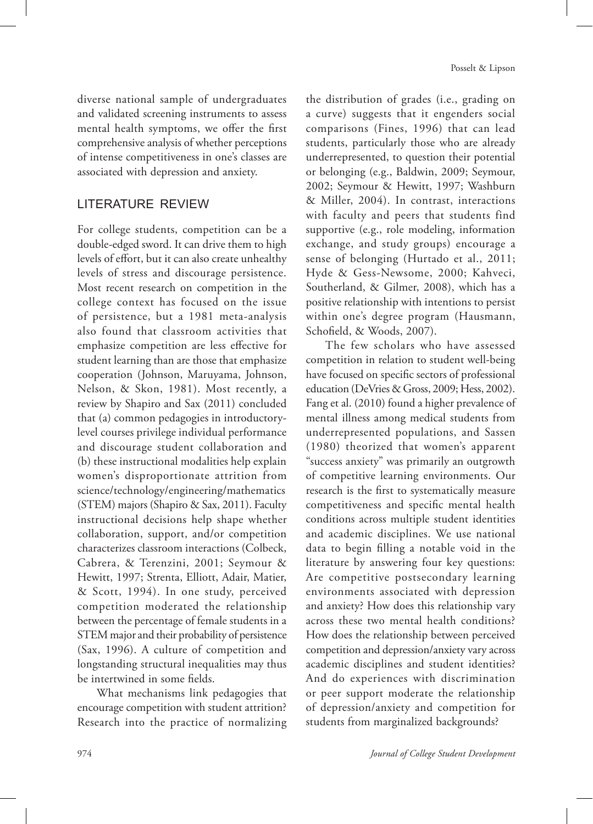diverse national sample of undergraduates and validated screening instruments to assess mental health symptoms, we offer the first comprehensive analysis of whether perceptions of intense competitiveness in one's classes are associated with depression and anxiety.

# LITERATURE REVIEW

For college students, competition can be a double-edged sword. It can drive them to high levels of effort, but it can also create unhealthy levels of stress and discourage persistence. Most recent research on competition in the college context has focused on the issue of persistence, but a 1981 meta-analysis also found that classroom activities that emphasize competition are less effective for student learning than are those that emphasize cooperation (Johnson, Maruyama, Johnson, Nelson, & Skon, 1981). Most recently, a review by Shapiro and Sax (2011) concluded that (a) common pedagogies in introductorylevel courses privilege individual performance and discourage student collaboration and (b) these instructional modalities help explain women's disproportionate attrition from science/technology/engineering/mathematics (STEM) majors (Shapiro & Sax, 2011). Faculty instructional decisions help shape whether collaboration, support, and/or competition characterizes classroom interactions (Colbeck, Cabrera, & Terenzini, 2001; Seymour & Hewitt, 1997; Strenta, Elliott, Adair, Matier, & Scott, 1994). In one study, perceived competition moderated the relationship between the percentage of female students in a STEM major and their probability of persistence (Sax, 1996). A culture of competition and longstanding structural inequalities may thus be intertwined in some fields.

What mechanisms link pedagogies that encourage competition with student attrition? Research into the practice of normalizing

the distribution of grades (i.e., grading on a curve) suggests that it engenders social comparisons (Fines, 1996) that can lead students, particularly those who are already underrepresented, to question their potential or belonging (e.g., Baldwin, 2009; Seymour, 2002; Seymour & Hewitt, 1997; Washburn & Miller, 2004). In contrast, interactions with faculty and peers that students find supportive (e.g., role modeling, information exchange, and study groups) encourage a sense of belonging (Hurtado et al., 2011; Hyde & Gess-Newsome, 2000; Kahveci, Southerland, & Gilmer, 2008), which has a positive relationship with intentions to persist within one's degree program (Hausmann, Schofield, & Woods, 2007).

The few scholars who have assessed competition in relation to student well-being have focused on specific sectors of professional education (DeVries & Gross, 2009; Hess, 2002). Fang et al. (2010) found a higher prevalence of mental illness among medical students from underrepresented populations, and Sassen (1980) theorized that women's apparent "success anxiety" was primarily an outgrowth of competitive learning environments. Our research is the first to systematically measure competitiveness and specific mental health conditions across multiple student identities and academic disciplines. We use national data to begin filling a notable void in the literature by answering four key questions: Are competitive postsecondary learning environments associated with depression and anxiety? How does this relationship vary across these two mental health conditions? How does the relationship between perceived competition and depression/anxiety vary across academic disciplines and student identities? And do experiences with discrimination or peer support moderate the relationship of depression/anxiety and competition for students from marginalized backgrounds?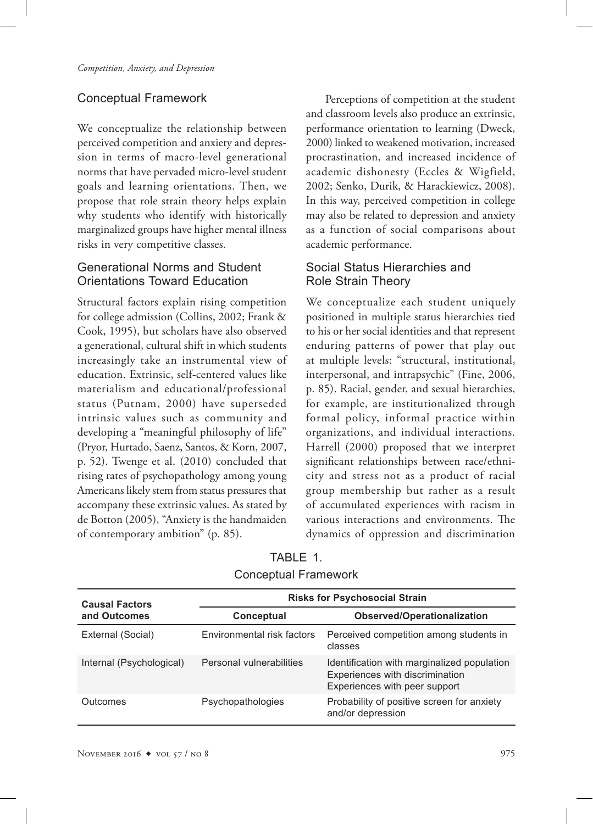# Conceptual Framework

We conceptualize the relationship between perceived competition and anxiety and depression in terms of macro-level generational norms that have pervaded micro-level student goals and learning orientations. Then, we propose that role strain theory helps explain why students who identify with historically marginalized groups have higher mental illness risks in very competitive classes.

# Generational Norms and Student Orientations Toward Education

Structural factors explain rising competition for college admission (Collins, 2002; Frank & Cook, 1995), but scholars have also observed a generational, cultural shift in which students increasingly take an instrumental view of education. Extrinsic, self-centered values like materialism and educational/professional status (Putnam, 2000) have superseded intrinsic values such as community and developing a "meaningful philosophy of life" (Pryor, Hurtado, Saenz, Santos, & Korn, 2007, p. 52). Twenge et al. (2010) concluded that rising rates of psychopathology among young Americans likely stem from status pressures that accompany these extrinsic values. As stated by de Botton (2005), "Anxiety is the handmaiden of contemporary ambition" (p. 85).

Perceptions of competition at the student and classroom levels also produce an extrinsic, performance orientation to learning (Dweck, 2000) linked to weakened motivation, increased procrastination, and increased incidence of academic dishonesty (Eccles & Wigfield, 2002; Senko, Durik, & Harackiewicz, 2008). In this way, perceived competition in college may also be related to depression and anxiety as a function of social comparisons about academic performance.

# Social Status Hierarchies and Role Strain Theory

We conceptualize each student uniquely positioned in multiple status hierarchies tied to his or her social identities and that represent enduring patterns of power that play out at multiple levels: "structural, institutional, interpersonal, and intrapsychic" (Fine, 2006, p. 85). Racial, gender, and sexual hierarchies, for example, are institutionalized through formal policy, informal practice within organizations, and individual interactions. Harrell (2000) proposed that we interpret significant relationships between race/ethnicity and stress not as a product of racial group membership but rather as a result of accumulated experiences with racism in various interactions and environments. The dynamics of oppression and discrimination

| <b>Causal Factors</b>    | <b>Risks for Psychosocial Strain</b> |                                                                                                                 |  |
|--------------------------|--------------------------------------|-----------------------------------------------------------------------------------------------------------------|--|
| and Outcomes             | Conceptual                           | <b>Observed/Operationalization</b>                                                                              |  |
| External (Social)        | Environmental risk factors           | Perceived competition among students in<br>classes                                                              |  |
| Internal (Psychological) | Personal vulnerabilities             | Identification with marginalized population<br>Experiences with discrimination<br>Experiences with peer support |  |
| Outcomes                 | Psychopathologies                    | Probability of positive screen for anxiety<br>and/or depression                                                 |  |

TABLE 1. Conceptual Framework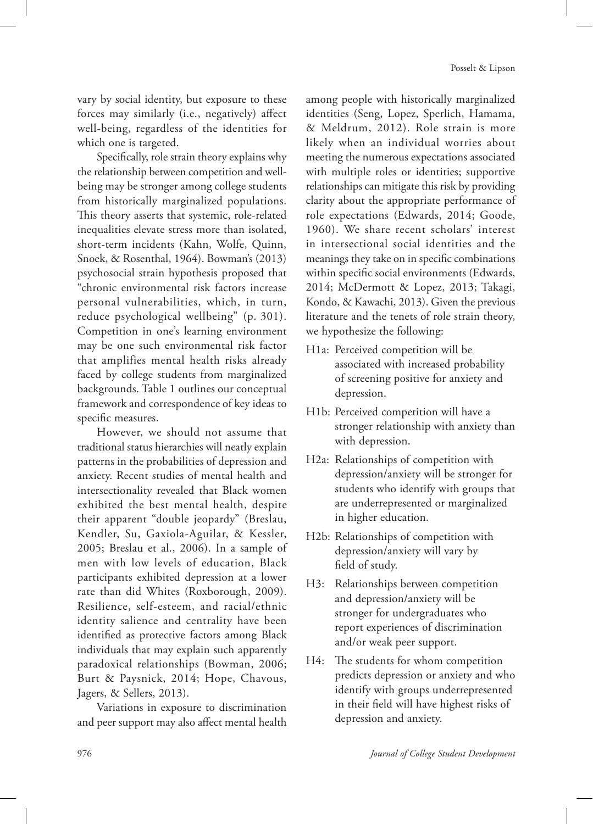vary by social identity, but exposure to these forces may similarly (i.e., negatively) affect well-being, regardless of the identities for which one is targeted.

Specifically, role strain theory explains why the relationship between competition and wellbeing may be stronger among college students from historically marginalized populations. This theory asserts that systemic, role-related inequalities elevate stress more than isolated, short-term incidents (Kahn, Wolfe, Quinn, Snoek, & Rosenthal, 1964). Bowman's (2013) psychosocial strain hypothesis proposed that "chronic environmental risk factors increase personal vulnerabilities, which, in turn, reduce psychological wellbeing" (p. 301). Competition in one's learning environment may be one such environmental risk factor that amplifies mental health risks already faced by college students from marginalized backgrounds. Table 1 outlines our conceptual framework and correspondence of key ideas to specific measures.

However, we should not assume that traditional status hierarchies will neatly explain patterns in the probabilities of depression and anxiety. Recent studies of mental health and intersectionality revealed that Black women exhibited the best mental health, despite their apparent "double jeopardy" (Breslau, Kendler, Su, Gaxiola-Aguilar, & Kessler, 2005; Breslau et al., 2006). In a sample of men with low levels of education, Black participants exhibited depression at a lower rate than did Whites (Roxborough, 2009). Resilience, self-esteem, and racial/ethnic identity salience and centrality have been identified as protective factors among Black individuals that may explain such apparently paradoxical relationships (Bowman, 2006; Burt & Paysnick, 2014; Hope, Chavous, Jagers, & Sellers, 2013).

Variations in exposure to discrimination and peer support may also affect mental health

among people with historically marginalized identities (Seng, Lopez, Sperlich, Hamama, & Meldrum, 2012). Role strain is more likely when an individual worries about meeting the numerous expectations associated with multiple roles or identities; supportive relationships can mitigate this risk by providing clarity about the appropriate performance of role expectations (Edwards, 2014; Goode, 1960). We share recent scholars' interest in intersectional social identities and the meanings they take on in specific combinations within specific social environments (Edwards, 2014; McDermott & Lopez, 2013; Takagi, Kondo, & Kawachi, 2013). Given the previous literature and the tenets of role strain theory, we hypothesize the following:

- H1a: Perceived competition will be associated with increased probability of screening positive for anxiety and depression.
- H1b: Perceived competition will have a stronger relationship with anxiety than with depression.
- H2a: Relationships of competition with depression/anxiety will be stronger for students who identify with groups that are underrepresented or marginalized in higher education.
- H2b: Relationships of competition with depression/anxiety will vary by field of study.
- H3: Relationships between competition and depression/anxiety will be stronger for undergraduates who report experiences of discrimination and/or weak peer support.
- H4: The students for whom competition predicts depression or anxiety and who identify with groups underrepresented in their field will have highest risks of depression and anxiety.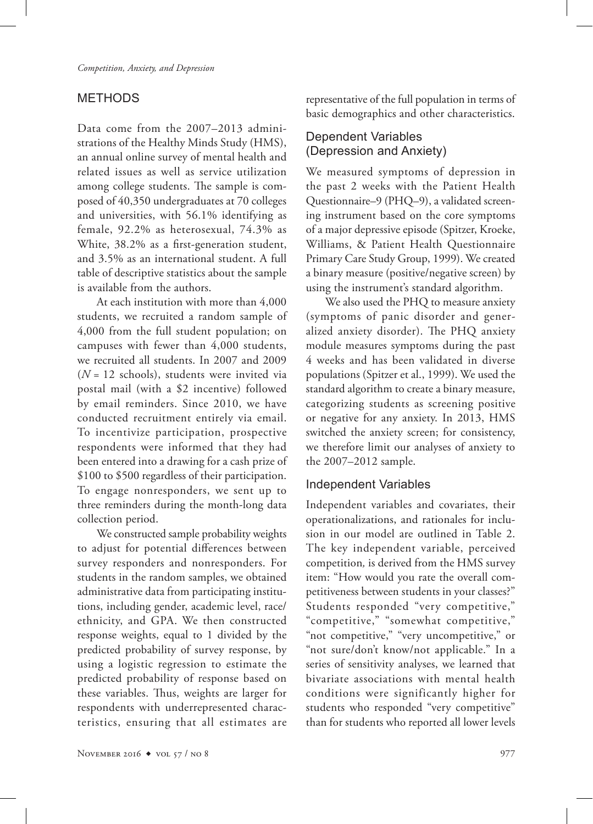# METHODS

Data come from the 2007–2013 administrations of the Healthy Minds Study (HMS), an annual online survey of mental health and related issues as well as service utilization among college students. The sample is composed of 40,350 undergraduates at 70 colleges and universities, with 56.1% identifying as female, 92.2% as heterosexual, 74.3% as White, 38.2% as a first-generation student, and 3.5% as an international student. A full table of descriptive statistics about the sample is available from the authors.

At each institution with more than 4,000 students, we recruited a random sample of 4,000 from the full student population; on campuses with fewer than 4,000 students, we recruited all students. In 2007 and 2009 (*N* = 12 schools), students were invited via postal mail (with a \$2 incentive) followed by email reminders. Since 2010, we have conducted recruitment entirely via email. To incentivize participation, prospective respondents were informed that they had been entered into a drawing for a cash prize of \$100 to \$500 regardless of their participation. To engage nonresponders, we sent up to three reminders during the month-long data collection period.

We constructed sample probability weights to adjust for potential differences between survey responders and nonresponders. For students in the random samples, we obtained administrative data from participating institutions, including gender, academic level, race/ ethnicity, and GPA. We then constructed response weights, equal to 1 divided by the predicted probability of survey response, by using a logistic regression to estimate the predicted probability of response based on these variables. Thus, weights are larger for respondents with underrepresented characteristics, ensuring that all estimates are representative of the full population in terms of basic demographics and other characteristics.

# Dependent Variables (Depression and Anxiety)

We measured symptoms of depression in the past 2 weeks with the Patient Health Questionnaire–9 (PHQ–9), a validated screening instrument based on the core symptoms of a major depressive episode (Spitzer, Kroeke, Williams, & Patient Health Questionnaire Primary Care Study Group, 1999). We created a binary measure (positive/negative screen) by using the instrument's standard algorithm.

We also used the PHQ to measure anxiety (symptoms of panic disorder and generalized anxiety disorder). The PHQ anxiety module measures symptoms during the past 4 weeks and has been validated in diverse populations (Spitzer et al., 1999). We used the standard algorithm to create a binary measure, categorizing students as screening positive or negative for any anxiety. In 2013, HMS switched the anxiety screen; for consistency, we therefore limit our analyses of anxiety to the 2007–2012 sample.

# Independent Variables

Independent variables and covariates, their operationalizations, and rationales for inclusion in our model are outlined in Table 2. The key independent variable, perceived competition*,* is derived from the HMS survey item: "How would you rate the overall competitiveness between students in your classes?" Students responded "very competitive," "competitive," "somewhat competitive," "not competitive," "very uncompetitive," or "not sure/don't know/not applicable." In a series of sensitivity analyses, we learned that bivariate associations with mental health conditions were significantly higher for students who responded "very competitive" than for students who reported all lower levels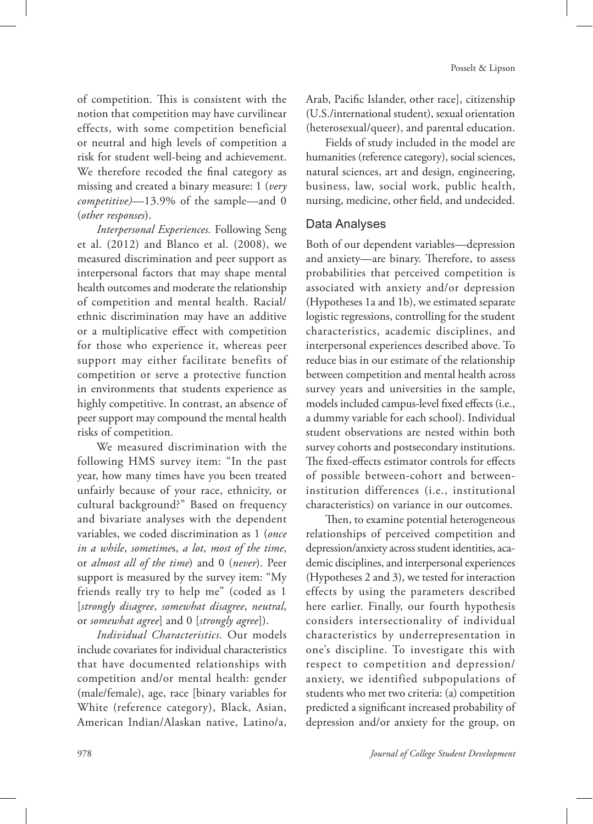of competition. This is consistent with the notion that competition may have curvilinear effects, with some competition beneficial or neutral and high levels of competition a risk for student well-being and achievement. We therefore recoded the final category as missing and created a binary measure: 1 (*very competitive)*—13.9% of the sample—and 0 (*other responses*).

*Interpersonal Experiences.* Following Seng et al. (2012) and Blanco et al. (2008), we measured discrimination and peer support as interpersonal factors that may shape mental health outcomes and moderate the relationship of competition and mental health. Racial/ ethnic discrimination may have an additive or a multiplicative effect with competition for those who experience it, whereas peer support may either facilitate benefits of competition or serve a protective function in environments that students experience as highly competitive. In contrast, an absence of peer support may compound the mental health risks of competition.

We measured discrimination with the following HMS survey item: "In the past year, how many times have you been treated unfairly because of your race, ethnicity, or cultural background?" Based on frequency and bivariate analyses with the dependent variables, we coded discrimination as 1 (*once in a while*, *sometime*s, *a lot*, *most of the time*, or *almost all of the time*) and 0 (*never*). Peer support is measured by the survey item: "My friends really try to help me" (coded as 1 [*strongly disagree*, *somewhat disagree*, *neutral*, or *somewhat agree*] and 0 [*strongly agree*]).

*Individual Characteristics.* Our models include covariates for individual characteristics that have documented relationships with competition and/or mental health: gender (male/female), age, race [binary variables for White (reference category), Black, Asian, American Indian/Alaskan native, Latino/a,

Arab, Pacific Islander, other race], citizenship (U.S./international student), sexual orientation (heterosexual/queer), and parental education.

Fields of study included in the model are humanities (reference category), social sciences, natural sciences, art and design, engineering, business, law, social work, public health, nursing, medicine, other field, and undecided.

# Data Analyses

Both of our dependent variables—depression and anxiety—are binary. Therefore, to assess probabilities that perceived competition is associated with anxiety and/or depression (Hypotheses 1a and 1b), we estimated separate logistic regressions, controlling for the student characteristics, academic disciplines, and interpersonal experiences described above. To reduce bias in our estimate of the relationship between competition and mental health across survey years and universities in the sample, models included campus-level fixed effects (i.e., a dummy variable for each school). Individual student observations are nested within both survey cohorts and postsecondary institutions. The fixed-effects estimator controls for effects of possible between-cohort and betweeninstitution differences (i.e., institutional characteristics) on variance in our outcomes.

Then, to examine potential heterogeneous relationships of perceived competition and depression/anxiety across student identities, academic disciplines, and interpersonal experiences (Hypotheses 2 and 3), we tested for interaction effects by using the parameters described here earlier. Finally, our fourth hypothesis considers intersectionality of individual characteristics by underrepresentation in one's discipline. To investigate this with respect to competition and depression/ anxiety, we identified subpopulations of students who met two criteria: (a) competition predicted a significant increased probability of depression and/or anxiety for the group, on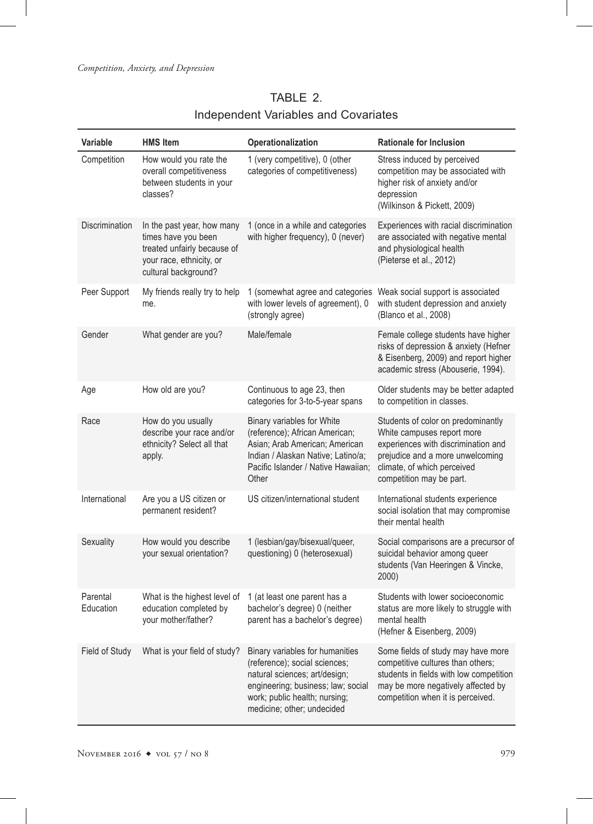# TABLE 2. Independent Variables and Covariates

| Variable              | <b>HMS</b> Item                                                                                                                      | Operationalization                                                                                                                                                                                     | <b>Rationale for Inclusion</b>                                                                                                                                                                         |  |
|-----------------------|--------------------------------------------------------------------------------------------------------------------------------------|--------------------------------------------------------------------------------------------------------------------------------------------------------------------------------------------------------|--------------------------------------------------------------------------------------------------------------------------------------------------------------------------------------------------------|--|
| Competition           | How would you rate the<br>overall competitiveness<br>between students in your<br>classes?                                            | 1 (very competitive), 0 (other<br>categories of competitiveness)                                                                                                                                       | Stress induced by perceived<br>competition may be associated with<br>higher risk of anxiety and/or<br>depression<br>(Wilkinson & Pickett, 2009)                                                        |  |
| Discrimination        | In the past year, how many<br>times have you been<br>treated unfairly because of<br>your race, ethnicity, or<br>cultural background? | 1 (once in a while and categories<br>with higher frequency), 0 (never)                                                                                                                                 | Experiences with racial discrimination<br>are associated with negative mental<br>and physiological health<br>(Pieterse et al., 2012)                                                                   |  |
| Peer Support          | My friends really try to help<br>me.                                                                                                 | 1 (somewhat agree and categories<br>with lower levels of agreement), 0<br>(strongly agree)                                                                                                             | Weak social support is associated<br>with student depression and anxiety<br>(Blanco et al., 2008)                                                                                                      |  |
| Gender                | What gender are you?                                                                                                                 | Male/female                                                                                                                                                                                            | Female college students have higher<br>risks of depression & anxiety (Hefner<br>& Eisenberg, 2009) and report higher<br>academic stress (Abouserie, 1994).                                             |  |
| Age                   | How old are you?                                                                                                                     | Continuous to age 23, then<br>categories for 3-to-5-year spans                                                                                                                                         | Older students may be better adapted<br>to competition in classes.                                                                                                                                     |  |
| Race                  | How do you usually<br>describe your race and/or<br>ethnicity? Select all that<br>apply.                                              | Binary variables for White<br>(reference); African American;<br>Asian; Arab American; American<br>Indian / Alaskan Native; Latino/a;<br>Pacific Islander / Native Hawaiian;<br>Other                   | Students of color on predominantly<br>White campuses report more<br>experiences with discrimination and<br>prejudice and a more unwelcoming<br>climate, of which perceived<br>competition may be part. |  |
| International         | Are you a US citizen or<br>permanent resident?                                                                                       | US citizen/international student                                                                                                                                                                       | International students experience<br>social isolation that may compromise<br>their mental health                                                                                                       |  |
| Sexuality             | How would you describe<br>your sexual orientation?                                                                                   | 1 (lesbian/gay/bisexual/queer,<br>questioning) 0 (heterosexual)                                                                                                                                        | Social comparisons are a precursor of<br>suicidal behavior among queer<br>students (Van Heeringen & Vincke,<br>2000)                                                                                   |  |
| Parental<br>Education | What is the highest level of<br>education completed by<br>your mother/father?                                                        | 1 (at least one parent has a<br>bachelor's degree) 0 (neither<br>parent has a bachelor's degree)                                                                                                       | Students with lower socioeconomic<br>status are more likely to struggle with<br>mental health<br>(Hefner & Eisenberg, 2009)                                                                            |  |
| Field of Study        | What is your field of study?                                                                                                         | Binary variables for humanities<br>(reference); social sciences;<br>natural sciences; art/design;<br>engineering; business; law; social<br>work; public health; nursing;<br>medicine; other; undecided | Some fields of study may have more<br>competitive cultures than others;<br>students in fields with low competition<br>may be more negatively affected by<br>competition when it is perceived.          |  |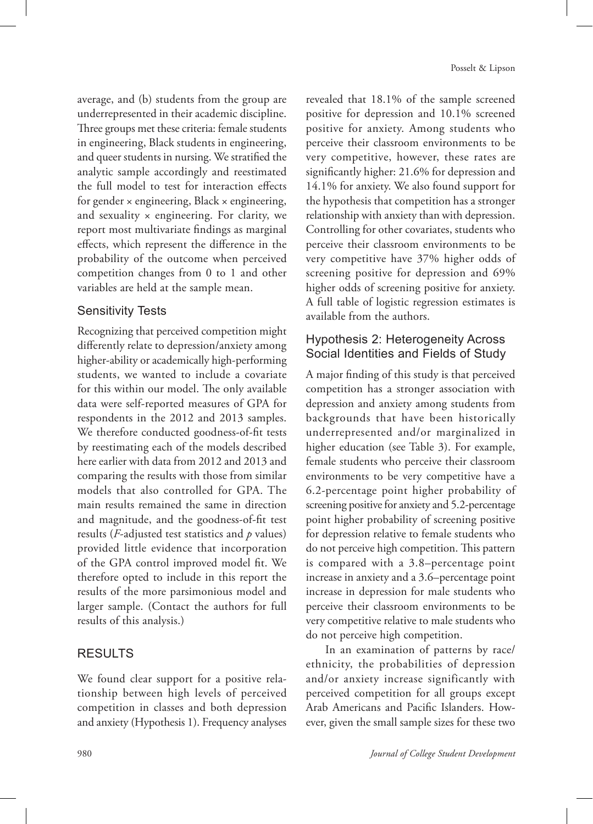average, and (b) students from the group are underrepresented in their academic discipline. Three groups met these criteria: female students in engineering, Black students in engineering, and queer students in nursing. We stratified the analytic sample accordingly and reestimated the full model to test for interaction effects for gender × engineering, Black × engineering, and sexuality  $\times$  engineering. For clarity, we report most multivariate findings as marginal effects, which represent the difference in the probability of the outcome when perceived competition changes from 0 to 1 and other variables are held at the sample mean.

# Sensitivity Tests

Recognizing that perceived competition might differently relate to depression/anxiety among higher-ability or academically high-performing students, we wanted to include a covariate for this within our model. The only available data were self-reported measures of GPA for respondents in the 2012 and 2013 samples. We therefore conducted goodness-of-fit tests by reestimating each of the models described here earlier with data from 2012 and 2013 and comparing the results with those from similar models that also controlled for GPA. The main results remained the same in direction and magnitude, and the goodness-of-fit test results (*F*-adjusted test statistics and *p* values) provided little evidence that incorporation of the GPA control improved model fit. We therefore opted to include in this report the results of the more parsimonious model and larger sample. (Contact the authors for full results of this analysis.)

## RESULTS

We found clear support for a positive relationship between high levels of perceived competition in classes and both depression and anxiety (Hypothesis 1). Frequency analyses

revealed that 18.1% of the sample screened positive for depression and 10.1% screened positive for anxiety. Among students who perceive their classroom environments to be very competitive, however, these rates are significantly higher: 21.6% for depression and 14.1% for anxiety. We also found support for the hypothesis that competition has a stronger relationship with anxiety than with depression. Controlling for other covariates, students who perceive their classroom environments to be very competitive have 37% higher odds of screening positive for depression and 69% higher odds of screening positive for anxiety. A full table of logistic regression estimates is available from the authors.

# Hypothesis 2: Heterogeneity Across Social Identities and Fields of Study

A major finding of this study is that perceived competition has a stronger association with depression and anxiety among students from backgrounds that have been historically underrepresented and/or marginalized in higher education (see Table 3). For example, female students who perceive their classroom environments to be very competitive have a 6.2-percentage point higher probability of screening positive for anxiety and 5.2-percentage point higher probability of screening positive for depression relative to female students who do not perceive high competition. This pattern is compared with a 3.8–percentage point increase in anxiety and a 3.6–percentage point increase in depression for male students who perceive their classroom environments to be very competitive relative to male students who do not perceive high competition.

In an examination of patterns by race/ ethnicity, the probabilities of depression and/or anxiety increase significantly with perceived competition for all groups except Arab Americans and Pacific Islanders. However, given the small sample sizes for these two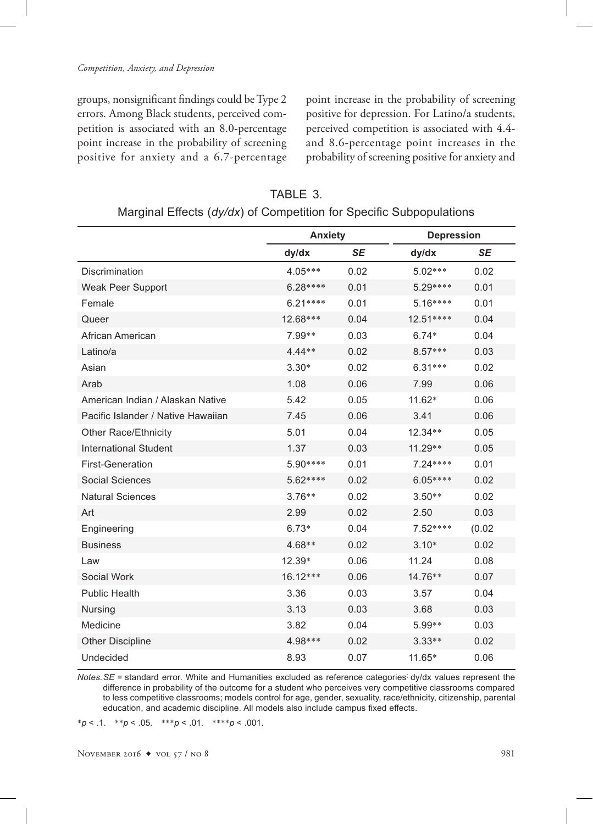groups, nonsignificant findings could be Type 2 errors. Among Black students, perceived competition is associated with an 8.0-percentage point increase in the probability of screening positive for anxiety and a 6.7-percentage

point increase in the probability of screening positive for depression. For Latino/a students, perceived competition is associated with 4.4and 8.6-percentage point increases in the probability of screening positive for anxiety and

| TABLE 3.                                                            |
|---------------------------------------------------------------------|
| Marginal Effects (dy/dx) of Competition for Specific Subpopulations |

|                                    | <b>Anxiety</b> |           | <b>Depression</b> |           |
|------------------------------------|----------------|-----------|-------------------|-----------|
|                                    | dy/dx          | <b>SE</b> | dy/dx             | <b>SE</b> |
| Discrimination                     | $4.05***$      | 0.02      | $5.02***$         | 0.02      |
| Weak Peer Support                  | 6.28 ****      | 0.01      | 5.29 ****         | 0.01      |
| Female                             | $6.21***$      | 0.01      | $5.16***$         | 0.01      |
| Queer                              | 12.68***       | 0.04      | 12.51 ****        | 0.04      |
| African American                   | 7.99**         | 0.03      | $6.74*$           | 0.04      |
| Latino/a                           | 4.44 **        | 0.02      | 8.57***           | 0.03      |
| Asian                              | $3.30*$        | 0.02      | $6.31***$         | 0.02      |
| Arab                               | 1.08           | 0.06      | 7.99              | 0.06      |
| American Indian / Alaskan Native   | 5.42           | 0.05      | 11.62*            | 0.06      |
| Pacific Islander / Native Hawaiian | 7.45           | 0.06      | 3.41              | 0.06      |
| Other Race/Ethnicity               | 5.01           | 0.04      | $12.34**$         | 0.05      |
| <b>International Student</b>       | 1.37           | 0.03      | 11.29 **          | 0.05      |
| <b>First-Generation</b>            | 5.90 ****      | 0.01      | 7.24 ****         | 0.01      |
| Social Sciences                    | 5.62 ****      | 0.02      | 6.05 ****         | 0.02      |
| <b>Natural Sciences</b>            | $3.76**$       | 0.02      | $3.50**$          | 0.02      |
| Art                                | 2.99           | 0.02      | 2.50              | 0.03      |
| Engineering                        | $6.73*$        | 0.04      | 7.52 ****         | (0.02)    |
| <b>Business</b>                    | 4.68**         | 0.02      | $3.10*$           | 0.02      |
| Law                                | 12.39*         | 0.06      | 11.24             | 0.08      |
| Social Work                        | 16.12***       | 0.06      | 14.76**           | 0.07      |
| <b>Public Health</b>               | 3.36           | 0.03      | 3.57              | 0.04      |
| Nursing                            | 3.13           | 0.03      | 3.68              | 0.03      |
| Medicine                           | 3.82           | 0.04      | 5.99**            | 0.03      |
| <b>Other Discipline</b>            | 4.98 ***       | 0.02      | $3.33**$          | 0.02      |
| Undecided                          | 8.93           | 0.07      | 11.65*            | 0.06      |

*Notes.SE* = standard error. White and Humanities excluded as reference categories; dy/dx values represent the difference in probability of the outcome for a student who perceives very competitive classrooms compared to less competitive classrooms; models control for age, gender, sexuality, race/ethnicity, citizenship, parental education, and academic discipline. All models also include campus fixed effects.

\**p* < .1. \*\**p* < .05. \*\*\**p* < .01. \*\*\*\**p* < .001.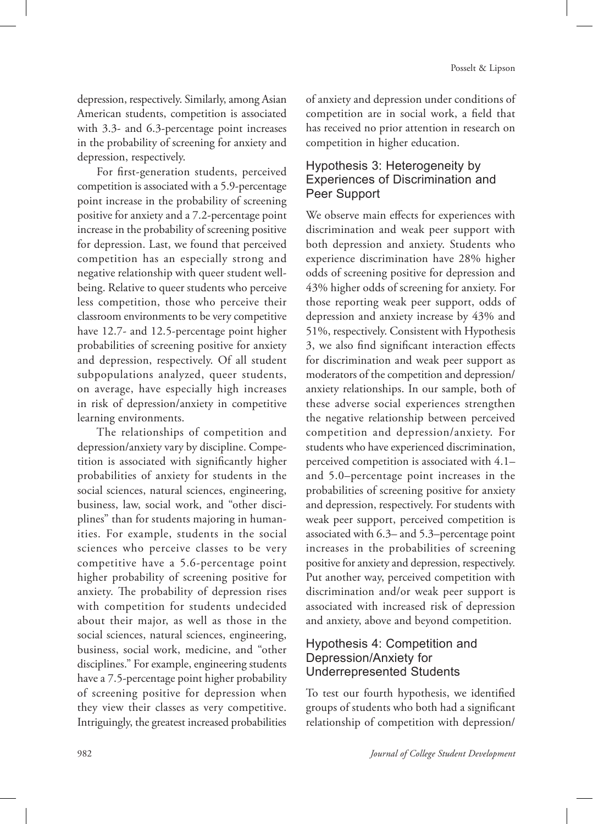depression, respectively. Similarly, among Asian American students, competition is associated with 3.3- and 6.3-percentage point increases in the probability of screening for anxiety and depression, respectively.

For first-generation students, perceived competition is associated with a 5.9-percentage point increase in the probability of screening positive for anxiety and a 7.2-percentage point increase in the probability of screening positive for depression. Last, we found that perceived competition has an especially strong and negative relationship with queer student wellbeing. Relative to queer students who perceive less competition, those who perceive their classroom environments to be very competitive have 12.7- and 12.5-percentage point higher probabilities of screening positive for anxiety and depression, respectively. Of all student subpopulations analyzed, queer students, on average, have especially high increases in risk of depression/anxiety in competitive learning environments.

The relationships of competition and depression/anxiety vary by discipline. Competition is associated with significantly higher probabilities of anxiety for students in the social sciences, natural sciences, engineering, business, law, social work, and "other disciplines" than for students majoring in humanities. For example, students in the social sciences who perceive classes to be very competitive have a 5.6-percentage point higher probability of screening positive for anxiety. The probability of depression rises with competition for students undecided about their major, as well as those in the social sciences, natural sciences, engineering, business, social work, medicine, and "other disciplines." For example, engineering students have a 7.5-percentage point higher probability of screening positive for depression when they view their classes as very competitive. Intriguingly, the greatest increased probabilities

of anxiety and depression under conditions of competition are in social work, a field that has received no prior attention in research on competition in higher education.

# Hypothesis 3: Heterogeneity by Experiences of Discrimination and Peer Support

We observe main effects for experiences with discrimination and weak peer support with both depression and anxiety. Students who experience discrimination have 28% higher odds of screening positive for depression and 43% higher odds of screening for anxiety. For those reporting weak peer support, odds of depression and anxiety increase by 43% and 51%, respectively. Consistent with Hypothesis 3, we also find significant interaction effects for discrimination and weak peer support as moderators of the competition and depression/ anxiety relationships. In our sample, both of these adverse social experiences strengthen the negative relationship between perceived competition and depression/anxiety. For students who have experienced discrimination, perceived competition is associated with 4.1– and 5.0–percentage point increases in the probabilities of screening positive for anxiety and depression, respectively. For students with weak peer support, perceived competition is associated with 6.3– and 5.3–percentage point increases in the probabilities of screening positive for anxiety and depression, respectively. Put another way, perceived competition with discrimination and/or weak peer support is associated with increased risk of depression and anxiety, above and beyond competition.

# Hypothesis 4: Competition and Depression/Anxiety for Underrepresented Students

To test our fourth hypothesis, we identified groups of students who both had a significant relationship of competition with depression/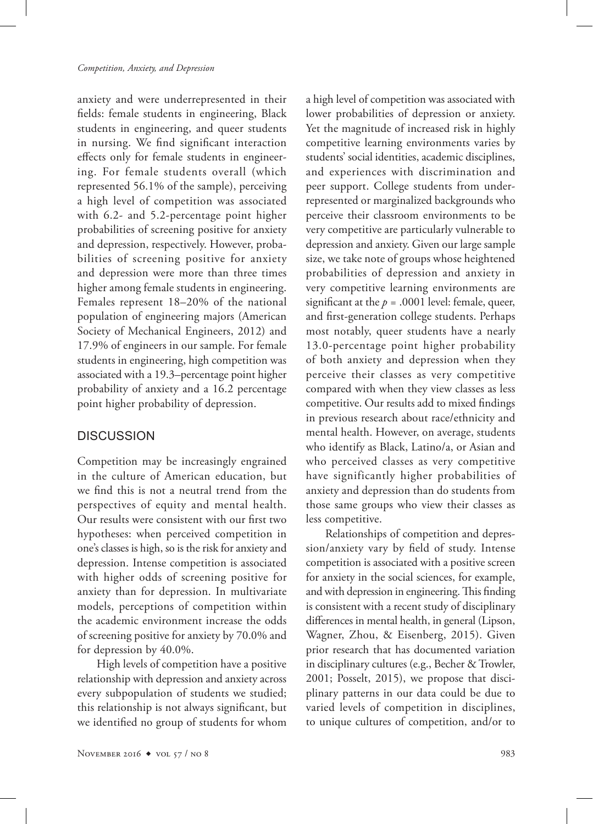anxiety and were underrepresented in their fields: female students in engineering, Black students in engineering, and queer students in nursing. We find significant interaction effects only for female students in engineering. For female students overall (which represented 56.1% of the sample), perceiving a high level of competition was associated with 6.2- and 5.2-percentage point higher probabilities of screening positive for anxiety and depression, respectively. However, probabilities of screening positive for anxiety and depression were more than three times higher among female students in engineering. Females represent 18–20% of the national population of engineering majors (American Society of Mechanical Engineers, 2012) and 17.9% of engineers in our sample. For female students in engineering, high competition was associated with a 19.3–percentage point higher probability of anxiety and a 16.2 percentage point higher probability of depression.

# **DISCUSSION**

Competition may be increasingly engrained in the culture of American education, but we find this is not a neutral trend from the perspectives of equity and mental health. Our results were consistent with our first two hypotheses: when perceived competition in one's classes is high, so is the risk for anxiety and depression. Intense competition is associated with higher odds of screening positive for anxiety than for depression. In multivariate models, perceptions of competition within the academic environment increase the odds of screening positive for anxiety by 70.0% and for depression by 40.0%.

High levels of competition have a positive relationship with depression and anxiety across every subpopulation of students we studied; this relationship is not always significant, but we identified no group of students for whom

a high level of competition was associated with lower probabilities of depression or anxiety. Yet the magnitude of increased risk in highly competitive learning environments varies by students' social identities, academic disciplines, and experiences with discrimination and peer support. College students from underrepresented or marginalized backgrounds who perceive their classroom environments to be very competitive are particularly vulnerable to depression and anxiety. Given our large sample size, we take note of groups whose heightened probabilities of depression and anxiety in very competitive learning environments are significant at the  $p = .0001$  level: female, queer, and first-generation college students. Perhaps most notably, queer students have a nearly 13.0-percentage point higher probability of both anxiety and depression when they perceive their classes as very competitive compared with when they view classes as less competitive. Our results add to mixed findings in previous research about race/ethnicity and mental health. However, on average, students who identify as Black, Latino/a, or Asian and who perceived classes as very competitive have significantly higher probabilities of anxiety and depression than do students from those same groups who view their classes as less competitive.

Relationships of competition and depression/anxiety vary by field of study. Intense competition is associated with a positive screen for anxiety in the social sciences, for example, and with depression in engineering. This finding is consistent with a recent study of disciplinary differences in mental health, in general (Lipson, Wagner, Zhou, & Eisenberg, 2015). Given prior research that has documented variation in disciplinary cultures (e.g., Becher & Trowler, 2001; Posselt, 2015), we propose that disciplinary patterns in our data could be due to varied levels of competition in disciplines, to unique cultures of competition, and/or to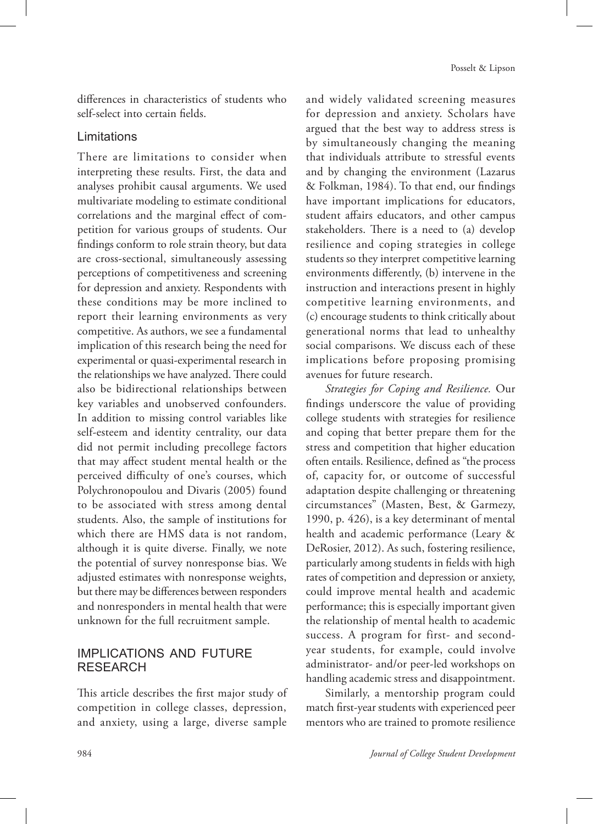differences in characteristics of students who self-select into certain fields.

# Limitations

There are limitations to consider when interpreting these results. First, the data and analyses prohibit causal arguments. We used multivariate modeling to estimate conditional correlations and the marginal effect of competition for various groups of students. Our findings conform to role strain theory, but data are cross-sectional, simultaneously assessing perceptions of competitiveness and screening for depression and anxiety. Respondents with these conditions may be more inclined to report their learning environments as very competitive. As authors, we see a fundamental implication of this research being the need for experimental or quasi-experimental research in the relationships we have analyzed. There could also be bidirectional relationships between key variables and unobserved confounders. In addition to missing control variables like self-esteem and identity centrality, our data did not permit including precollege factors that may affect student mental health or the perceived difficulty of one's courses, which Polychronopoulou and Divaris (2005) found to be associated with stress among dental students. Also, the sample of institutions for which there are HMS data is not random, although it is quite diverse. Finally, we note the potential of survey nonresponse bias. We adjusted estimates with nonresponse weights, but there may be differences between responders and nonresponders in mental health that were unknown for the full recruitment sample.

# IMPLICATIONS AND FUTURE RESEARCH

This article describes the first major study of competition in college classes, depression, and anxiety, using a large, diverse sample

and widely validated screening measures for depression and anxiety. Scholars have argued that the best way to address stress is by simultaneously changing the meaning that individuals attribute to stressful events and by changing the environment (Lazarus & Folkman, 1984). To that end, our findings have important implications for educators, student affairs educators, and other campus stakeholders. There is a need to (a) develop resilience and coping strategies in college students so they interpret competitive learning environments differently, (b) intervene in the instruction and interactions present in highly competitive learning environments, and (c) encourage students to think critically about generational norms that lead to unhealthy social comparisons. We discuss each of these implications before proposing promising avenues for future research.

*Strategies for Coping and Resilience.* Our findings underscore the value of providing college students with strategies for resilience and coping that better prepare them for the stress and competition that higher education often entails. Resilience, defined as "the process of, capacity for, or outcome of successful adaptation despite challenging or threatening circumstances" (Masten, Best, & Garmezy, 1990, p. 426), is a key determinant of mental health and academic performance (Leary & DeRosier, 2012). As such, fostering resilience, particularly among students in fields with high rates of competition and depression or anxiety, could improve mental health and academic performance; this is especially important given the relationship of mental health to academic success. A program for first- and secondyear students, for example, could involve administrator- and/or peer-led workshops on handling academic stress and disappointment.

Similarly, a mentorship program could match first-year students with experienced peer mentors who are trained to promote resilience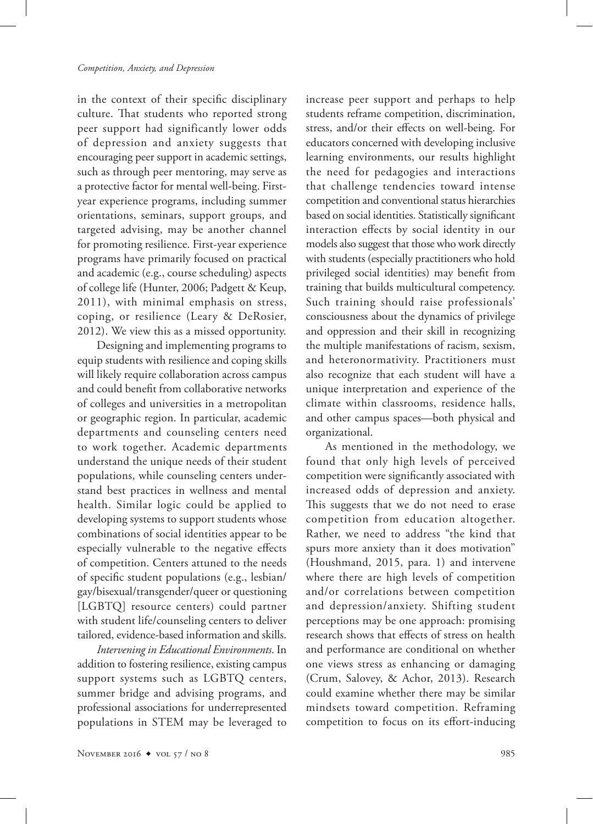in the context of their specific disciplinary culture. That students who reported strong peer support had significantly lower odds of depression and anxiety suggests that encouraging peer support in academic settings, such as through peer mentoring, may serve as a protective factor for mental well-being. Firstyear experience programs, including summer orientations, seminars, support groups, and targeted advising, may be another channel for promoting resilience. First-year experience programs have primarily focused on practical and academic (e.g., course scheduling) aspects of college life (Hunter, 2006; Padgett & Keup, 2011), with minimal emphasis on stress, coping, or resilience (Leary & DeRosier, 2012). We view this as a missed opportunity.

Designing and implementing programs to equip students with resilience and coping skills will likely require collaboration across campus and could benefit from collaborative networks of colleges and universities in a metropolitan or geographic region. In particular, academic departments and counseling centers need to work together. Academic departments understand the unique needs of their student populations, while counseling centers understand best practices in wellness and mental health. Similar logic could be applied to developing systems to support students whose combinations of social identities appear to be especially vulnerable to the negative effects of competition. Centers attuned to the needs of specific student populations (e.g., lesbian/ gay/bisexual/transgender/queer or questioning [LGBTQ] resource centers) could partner with student life/counseling centers to deliver tailored, evidence-based information and skills.

*Intervening in Educational Environments*. In addition to fostering resilience, existing campus support systems such as LGBTQ centers, summer bridge and advising programs, and professional associations for underrepresented populations in STEM may be leveraged to

increase peer support and perhaps to help students reframe competition, discrimination, stress, and/or their effects on well-being. For educators concerned with developing inclusive learning environments, our results highlight the need for pedagogies and interactions that challenge tendencies toward intense competition and conventional status hierarchies based on social identities. Statistically significant interaction effects by social identity in our models also suggest that those who work directly with students (especially practitioners who hold privileged social identities) may benefit from training that builds multicultural competency. Such training should raise professionals' consciousness about the dynamics of privilege and oppression and their skill in recognizing the multiple manifestations of racism, sexism, and heteronormativity. Practitioners must also recognize that each student will have a unique interpretation and experience of the climate within classrooms, residence halls, and other campus spaces—both physical and organizational.

As mentioned in the methodology, we found that only high levels of perceived competition were significantly associated with increased odds of depression and anxiety. This suggests that we do not need to erase competition from education altogether. Rather, we need to address "the kind that spurs more anxiety than it does motivation" (Houshmand, 2015, para. 1) and intervene where there are high levels of competition and/or correlations between competition and depression/anxiety. Shifting student perceptions may be one approach: promising research shows that effects of stress on health and performance are conditional on whether one views stress as enhancing or damaging (Crum, Salovey, & Achor, 2013). Research could examine whether there may be similar mindsets toward competition. Reframing competition to focus on its effort-inducing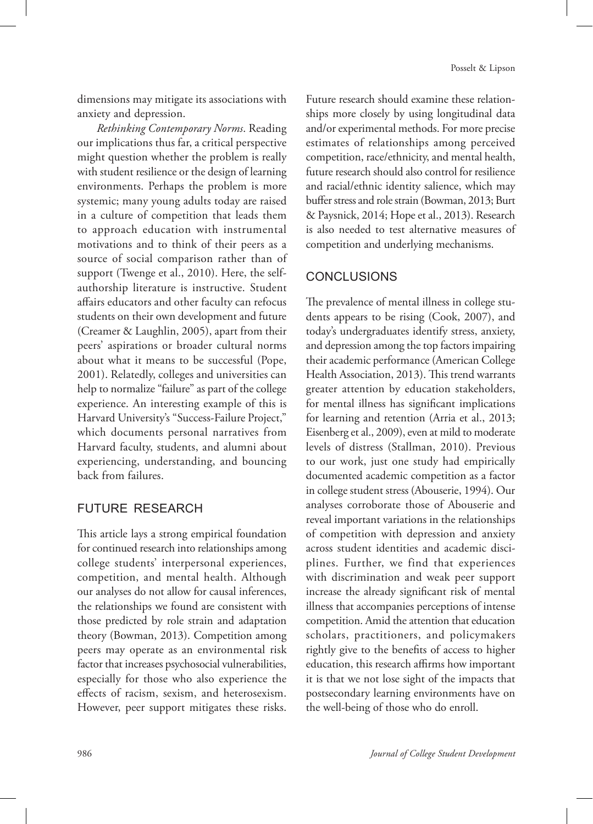dimensions may mitigate its associations with anxiety and depression.

*Rethinking Contemporary Norms*. Reading our implications thus far, a critical perspective might question whether the problem is really with student resilience or the design of learning environments. Perhaps the problem is more systemic; many young adults today are raised in a culture of competition that leads them to approach education with instrumental motivations and to think of their peers as a source of social comparison rather than of support (Twenge et al., 2010). Here, the selfauthorship literature is instructive. Student affairs educators and other faculty can refocus students on their own development and future (Creamer & Laughlin, 2005), apart from their peers' aspirations or broader cultural norms about what it means to be successful (Pope, 2001). Relatedly, colleges and universities can help to normalize "failure" as part of the college experience. An interesting example of this is Harvard University's "Success-Failure Project," which documents personal narratives from Harvard faculty, students, and alumni about experiencing, understanding, and bouncing back from failures.

# FUTURE RESEARCH

This article lays a strong empirical foundation for continued research into relationships among college students' interpersonal experiences, competition, and mental health. Although our analyses do not allow for causal inferences, the relationships we found are consistent with those predicted by role strain and adaptation theory (Bowman, 2013). Competition among peers may operate as an environmental risk factor that increases psychosocial vulnerabilities, especially for those who also experience the effects of racism, sexism, and heterosexism. However, peer support mitigates these risks.

Future research should examine these relationships more closely by using longitudinal data and/or experimental methods. For more precise estimates of relationships among perceived competition, race/ethnicity, and mental health, future research should also control for resilience and racial/ethnic identity salience, which may buffer stress and role strain (Bowman, 2013; Burt & Paysnick, 2014; Hope et al., 2013). Research is also needed to test alternative measures of competition and underlying mechanisms.

# **CONCLUSIONS**

The prevalence of mental illness in college students appears to be rising (Cook, 2007), and today's undergraduates identify stress, anxiety, and depression among the top factors impairing their academic performance (American College Health Association, 2013). This trend warrants greater attention by education stakeholders, for mental illness has significant implications for learning and retention (Arria et al., 2013; Eisenberg et al., 2009), even at mild to moderate levels of distress (Stallman, 2010). Previous to our work, just one study had empirically documented academic competition as a factor in college student stress (Abouserie, 1994). Our analyses corroborate those of Abouserie and reveal important variations in the relationships of competition with depression and anxiety across student identities and academic disciplines. Further, we find that experiences with discrimination and weak peer support increase the already significant risk of mental illness that accompanies perceptions of intense competition. Amid the attention that education scholars, practitioners, and policymakers rightly give to the benefits of access to higher education, this research affirms how important it is that we not lose sight of the impacts that postsecondary learning environments have on the well-being of those who do enroll.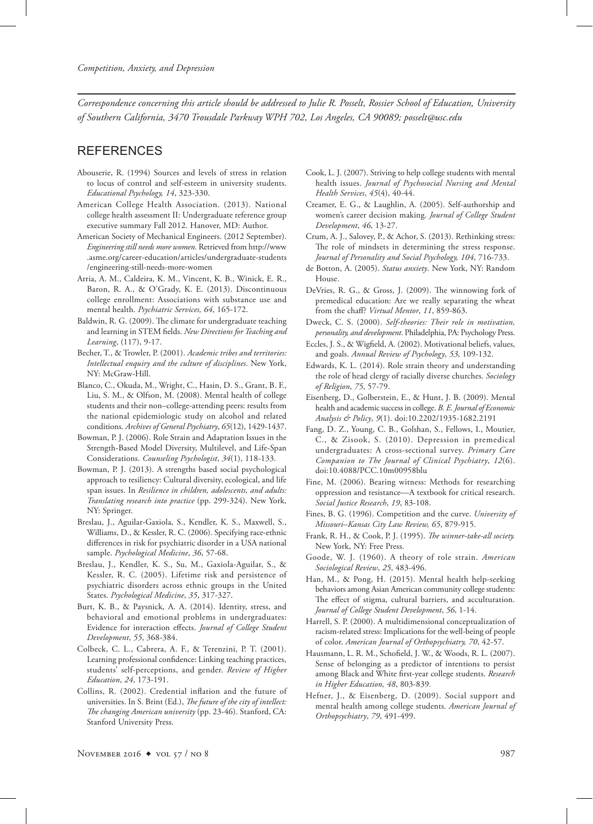*Correspondence concerning this article should be addressed to Julie R. Posselt, Rossier School of Education, University of Southern California, 3470 Trousdale Parkway WPH 702, Los Angeles, CA 90089; posselt@usc.edu* 

## **REFERENCES**

- Abouserie, R. (1994) Sources and levels of stress in relation to locus of control and self-esteem in university students. *Educational Psychology, 14, 323-330.*
- American College Health Association. (2013). National college health assessment II: Undergraduate reference group executive summary Fall 2012. Hanover, MD: Author.
- American Society of Mechanical Engineers. (2012 September). *Engineering still needs more women.* Retrieved from http://www .asme.org/career-education/articles/undergraduate-students /engineering-still-needs-more-women
- Arria, A. M., Caldeira, K. M., Vincent, K. B., Winick, E. R., Baron, R. A., & O'Grady, K. E. (2013). Discontinuous college enrollment: Associations with substance use and mental health. *Psychiatric Services*, 64, 165-172.
- Baldwin, R. G. (2009). The climate for undergraduate teaching and learning in STEM fields. *New Directions for Teaching and Learning*, (117), 9-17.
- Becher, T., & Trowler, P. (2001). *Academic tribes and territories: Intellectual enquiry and the culture of disciplines*. New York, NY: McGraw-Hill.
- Blanco, C., Okuda, M., Wright, C., Hasin, D. S., Grant, B. F., Liu, S. M., & Olfson, M. (2008). Mental health of college students and their non–college-attending peers: results from the national epidemiologic study on alcohol and related conditions. Archives of General Psychiatry, 65(12), 1429-1437.
- Bowman, P. J. (2006). Role Strain and Adaptation Issues in the Strength-Based Model Diversity, Multilevel, and Life-Span Considerations. *Counseling Psychologist*, 34(1), 118-133.
- Bowman, P. J. (2013). A strengths based social psychological approach to resiliency: Cultural diversity, ecological, and life span issues. In *Resilience in children, adolescents, and adults: Translating research into practice* (pp. 299-324). New York, NY: Springer.
- Breslau, J., Aguilar-Gaxiola, S., Kendler, K. S., Maxwell, S., Williams, D., & Kessler, R. C. (2006). Specifying race-ethnic differences in risk for psychiatric disorder in a USA national sample. Psychological Medicine, 36, 57-68.
- Breslau, J., Kendler, K. S., Su, M., Gaxiola-Aguilar, S., & Kessler, R. C. (2005). Lifetime risk and persistence of psychiatric disorders across ethnic groups in the United States. Psychological Medicine, 35, 317-327.
- Burt, K. B., & Paysnick, A. A. (2014). Identity, stress, and behavioral and emotional problems in undergraduates: Evidence for interaction effects. *Journal of College Student Development*, 55, 368-384.
- Colbeck, C. L., Cabrera, A. F., & Terenzini, P. T. (2001). Learning professional confidence: Linking teaching practices, students' self-perceptions, and gender. *Review of Higher Education*, 24, 173-191.
- Collins, R. (2002). Credential inflation and the future of universities. In S. Brint (Ed.), *The future of the city of intellect: The changing American university* (pp. 23-46). Stanford, CA: Stanford University Press.
- Cook, L. J. (2007). Striving to help college students with mental health issues. *Journal of Psychosocial Nursing and Mental Health Services*,  $45(4)$ ,  $40-44$ .
- Creamer, E. G., & Laughlin, A. (2005). Self-authorship and women's career decision making. *Journal of College Student Development*, 46, 13-27.
- Crum, A. J., Salovey, P., & Achor, S. (2013). Rethinking stress: The role of mindsets in determining the stress response. *Journal of Personality and Social Psychology, 104*, 716733.
- de Botton, A. (2005). *Status anxiety*. New York, NY: Random House.
- DeVries, R. G., & Gross, J. (2009). The winnowing fork of premedical education: Are we really separating the wheat from the chaff? Virtual Mentor, 11, 859-863.
- Dweck, C. S. (2000). *Self-theories: Their role in motivation, personality, and development*. Philadelphia, PA: Psychology Press.
- Eccles, J. S., & Wigfield, A. (2002). Motivational beliefs, values, and goals. *Annual Review of Psychology*, 53, 109-132.
- Edwards, K. L. (2014). Role strain theory and understanding the role of head clergy of racially diverse churches. *Sociology of Religion*, 75, 57-79.
- Eisenberg, D., Golberstein, E., & Hunt, J. B. (2009). Mental health and academic success in college. *B. E. Journal of Economic Analysis & Policy*, 9(1). doi:10.2202/1935-1682.2191
- Fang, D. Z., Young, C. B., Golshan, S., Fellows, I., Moutier, C., & Zisook, S. (2010). Depression in premedical undergraduates: A cross-sectional survey. *Primary Care Companion to The Journal of Clinical Psychiatry*, *12*(6). doi:10.4088/PCC.10m00958blu
- Fine, M. (2006). Bearing witness: Methods for researching oppression and resistance—A textbook for critical research. *Social Justice Research*, 19, 83-108.
- Fines, B. G. (1996). Competition and the curve. *University of*  Missouri–Kansas City Law Review, 65, 879-915.
- Frank, R. H., & Cook, P. J. (1995). *The winner-take-all society.* New York, NY: Free Press.
- Goode, W. J. (1960). A theory of role strain. *American Sociological Review*, *25*, 483496.
- Han, M., & Pong, H. (2015). Mental health help-seeking behaviors among Asian American community college students: The effect of stigma, cultural barriers, and acculturation. *Journal of College Student Development*, 56, 1-14.
- Harrell, S. P. (2000). A multidimensional conceptualization of racism-related stress: Implications for the well-being of people of color. American Journal of Orthopsychiatry, 70, 42-57.
- Hausmann, L. R. M., Schofield, J. W., & Woods, R. L. (2007). Sense of belonging as a predictor of intentions to persist among Black and White first-year college students. *Research in Higher Education, 48, 803-839.*
- Hefner, J., & Eisenberg, D. (2009). Social support and mental health among college students. *American Journal of Orthopsychiatry*, 79, 491-499.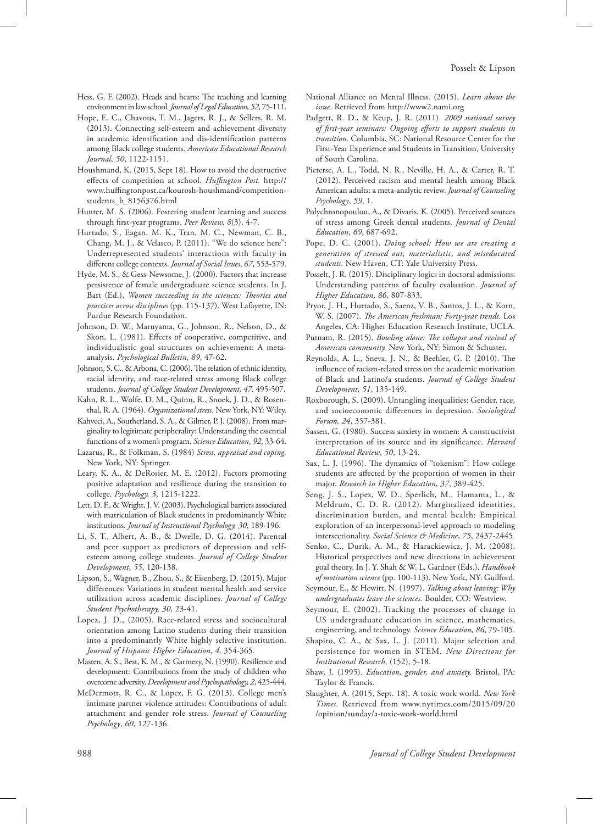- Hess, G. F. (2002). Heads and hearts: The teaching and learning environment in law school. *Journal of Legal Education*, 52, 75-111.
- Hope, E. C., Chavous, T. M., Jagers, R. J., & Sellers, R. M. (2013). Connecting self-esteem and achievement diversity in academic identification and dis-identification patterns among Black college students. *American Educational Research Journal*, 50, 1122-1151.
- Houshmand, K. (2015, Sept 18). How to avoid the destructive effects of competition at school. *Huffington Post.* http:// www.huffingtonpost.ca/kourosh-houshmand/competitionstudents\_b\_8156376.html
- Hunter, M. S. (2006). Fostering student learning and success through first-year programs. *Peer Review, 8*(3), 47.
- Hurtado, S., Eagan, M. K., Tran, M. C., Newman, C. B., Chang, M. J., & Velasco, P. (2011). "We do science here": Underrepresented students' interactions with faculty in different college contexts. *Journal of Social Issues*, 67, 553-579.
- Hyde, M. S., & Gess-Newsome, J. (2000). Factors that increase persistence of female undergraduate science students. In J. Bart (Ed.), *Women succeeding in the sciences: Theories and practices across disciplines* (pp. 115-137). West Lafayette, IN: Purdue Research Foundation.
- Johnson, D. W., Maruyama, G., Johnson, R., Nelson, D., & Skon, L. (1981). Effects of cooperative, competitive, and individualistic goal structures on achievement: A metaanalysis. Psychological Bulletin, 89, 47-62.
- Johnson, S. C., & Arbona, C. (2006). The relation of ethnic identity, racial identity, and race-related stress among Black college students. *Journal of College Student Development*, 47, 495-507.
- Kahn, R. L., Wolfe, D. M., Quinn, R., Snoek, J. D., & Rosenthal, R. A. (1964). *Organizational stress.* New York, NY: Wiley.
- Kahveci, A., Southerland, S. A., & Gilmer, P. J. (2008). From marginality to legitimate peripherality: Understanding the essential functions of a women's program. *Science Education*, 92, 33-64.
- Lazarus, R., & Folkman, S. (1984) *Stress, appraisal and coping.*  New York, NY: Springer.
- Leary, K. A., & DeRosier, M. E. (2012). Factors promoting positive adaptation and resilience during the transition to college. *Psychology*, 3, 1215-1222.
- Lett, D. F., & Wright, J. V. (2003). Psychological barriers associated with matriculation of Black students in predominantly White institutions. *Journal of Instructional Psychology, 30*, 189-196.
- Li, S. T., Albert, A. B., & Dwelle, D. G. (2014). Parental and peer support as predictors of depression and selfesteem among college students. *Journal of College Student Development*, 55, 120-138.
- Lipson, S., Wagner, B., Zhou, S., & Eisenberg, D. (2015). Major differences: Variations in student mental health and service utilization across academic disciplines. *Journal of College Student Psychotherapy, 30, 23-41.*
- Lopez, J. D., (2005). Race-related stress and sociocultural orientation among Latino students during their transition into a predominantly White highly selective institution. Journal of Hispanic Higher Education, 4, 354-365.
- Masten, A. S., Best, K. M., & Garmezy, N. (1990). Resilience and development: Contributions from the study of children who overcome adversity. *Development and Psychopathology, 2*, 425-444.
- McDermott, R. C., & Lopez, F. G. (2013). College men's intimate partner violence attitudes: Contributions of adult attachment and gender role stress. *Journal of Counseling*  Psychology, 60, 127-136.
- National Alliance on Mental Illness. (2015). *Learn about the issue*. Retrieved from http://www2.nami.org
- Padgett, R. D., & Keup, J. R. (2011). *2009 national survey of first-year seminars: Ongoing efforts to support students in transition*. Columbia, SC: National Resource Center for the First-Year Experience and Students in Transition, University of South Carolina.
- Pieterse, A. L., Todd, N. R., Neville, H. A., & Carter, R. T. (2012). Perceived racism and mental health among Black American adults: a meta-analytic review. *Journal of Counseling Psychology*, *59*, 1.
- Polychronopoulou, A., & Divaris, K. (2005). Perceived sources of stress among Greek dental students. *Journal of Dental Education*, 69, 687-692.
- Pope, D. C. (2001). *Doing school: How we are creating a generation of stressed out, materialistic, and miseducated students*. New Haven, CT: Yale University Press.
- Posselt, J. R. (2015). Disciplinary logics in doctoral admissions: Understanding patterns of faculty evaluation. *Journal of Higher Education, 86, 807-833.*
- Pryor, J. H., Hurtado, S., Saenz, V. B., Santos, J. L., & Korn, W. S. (2007). *The American freshman: Forty-year trends.* Los Angeles, CA: Higher Education Research Institute, UCLA.
- Putnam, R. (2015). *Bowling alone: The collapse and revival of American community.* New York, NY: Simon & Schuster.
- Reynolds, A. L., Sneva, J. N., & Beehler, G. P. (2010). The influence of racism-related stress on the academic motivation of Black and Latino/a students. *Journal of College Student Development*, *51*, 135149.
- Roxborough, S. (2009). Untangling inequalities: Gender, race, and socioeconomic differences in depression. *Sociological Forum,* 24, 357-381.
- Sassen, G. (1980). Success anxiety in women: A constructivist interpretation of its source and its significance. *Harvard Educational Review*, 50, 13-24.
- Sax, L. J. (1996). The dynamics of "tokenism": How college students are affected by the proportion of women in their major. *Research in Higher Education*, 37, 389-425.
- Seng, J. S., Lopez, W. D., Sperlich, M., Hamama, L., & Meldrum, C. D. R. (2012). Marginalized identities, discrimination burden, and mental health: Empirical exploration of an interpersonal-level approach to modeling intersectionality. *Social Science & Medicine*, 75, 2437-2445.
- Senko, C., Durik, A. M., & Harackiewicz, J. M. (2008). Historical perspectives and new directions in achievement goal theory. In J. Y. Shah & W. L. Gardner (Eds.). *Handbook*  of motivation science (pp. 100-113). New York, NY: Guilford.
- Seymour, E., & Hewitt, N. (1997). *Talking about leaving: Why undergraduates leave the sciences.* Boulder, CO: Westview.
- Seymour, E. (2002). Tracking the processes of change in US undergraduate education in science, mathematics, engineering, and technology. *Science Education*, 86, 79-105.
- Shapiro, C. A., & Sax, L. J. (2011). Major selection and persistence for women in STEM. *New Directions for Institutional Research*, (152), 5-18.
- Shaw, J. (1995). *Education, gender, and anxiety.* Bristol, PA: Taylor & Francis.
- Slaughter, A. (2015, Sept. 18). A toxic work world. *New York Times.* Retrieved from www.nytimes.com/2015/09/20 /opinion/sunday/a-toxic-work-world.html